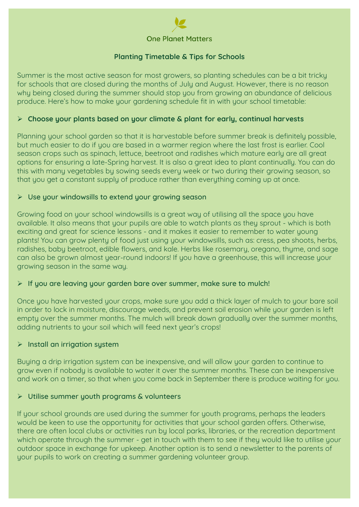

### **Planting Timetable & Tips for Schools**

Summer is the most active season for most growers, so planting schedules can be a bit tricky for schools that are closed during the months of July and August. However, there is no reason why being closed during the summer should stop you from growing an abundance of delicious produce. Here's how to make your gardening schedule fit in with your school timetable:

#### ¾ **Choose your plants based on your climate & plant for early, continual harvests**

Planning your school garden so that it is harvestable before summer break is definitely possible. but much easier to do if you are based in a warmer region where the last frost is earlier. Cool season crops such as spinach, lettuce, beetroot and radishes which mature early are all great options for ensuring a late-Spring harvest. It is also a great idea to plant continually. You can do this with many vegetables by sowing seeds every week or two during their growing season, so that you get a constant supply of produce rather than everything coming up at once.

### $\triangleright$  Use your windowsills to extend your growing season

Growing food on your school windowsills is a great way of utilising all the space you have available. It also means that your pupils are able to watch plants as they sprout - which is both exciting and great for science lessons - and it makes it easier to remember to water young plants! You can grow plenty of food just using your windowsills, such as: cress, pea shoots, herbs, radishes, baby beetroot, edible flowers, and kale. Herbs like rosemary, oregano, thyme, and sage can also be grown almost year-round indoors! If you have a greenhouse, this will increase your growing season in the same way.

#### $\triangleright$  If you are leaving your garden bare over summer, make sure to mulch!

Once you have harvested your crops, make sure you add a thick layer of mulch to your bare soil in order to lock in moisture, discourage weeds, and prevent soil erosion while your garden is left empty over the summer months. The mulch will break down gradually over the summer months, adding nutrients to your soil which will feed next year's crops!

#### $\triangleright$  Install an irrigation system

Buying a drip irrigation system can be inexpensive, and will allow your garden to continue to grow even if nobody is available to water it over the summer months. These can be inexpensive and work on a timer, so that when you come back in September there is produce waiting for you.

#### $\triangleright$  Utilise summer youth programs & volunteers

If your school grounds are used during the summer for youth programs, perhaps the leaders would be keen to use the opportunity for activities that your school garden offers. Otherwise, there are often local clubs or activities run by local parks, libraries, or the recreation department which operate through the summer - get in touch with them to see if they would like to utilise your outdoor space in exchange for upkeep. Another option is to send a newsletter to the parents of your pupils to work on creating a summer gardening volunteer group.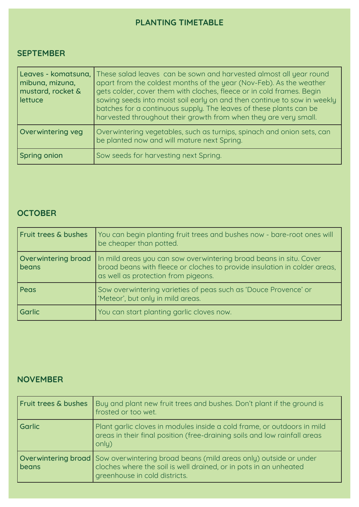# **PLANTING TIMETABLE**

## **SEPTEMBER**

| mibuna, mizuna,<br>mustard, rocket &<br>lettuce | Leaves - komatsuna, These salad leaves can be sown and harvested almost all year round<br>apart from the coldest months of the year (Nov-Feb). As the weather<br>gets colder, cover them with cloches, fleece or in cold frames. Begin<br>sowing seeds into moist soil early on and then continue to sow in weekly<br>batches for a continuous supply. The leaves of these plants can be<br>harvested throughout their growth from when they are very small. |
|-------------------------------------------------|--------------------------------------------------------------------------------------------------------------------------------------------------------------------------------------------------------------------------------------------------------------------------------------------------------------------------------------------------------------------------------------------------------------------------------------------------------------|
| Overwintering veg                               | Overwintering vegetables, such as turnips, spinach and onion sets, can<br>be planted now and will mature next Spring.                                                                                                                                                                                                                                                                                                                                        |
| <b>Spring onion</b>                             | Sow seeds for harvesting next Spring.                                                                                                                                                                                                                                                                                                                                                                                                                        |

## **OCTOBER**

| Fruit trees & bushes         | You can begin planting fruit trees and bushes now - bare-root ones will<br>be cheaper than potted.                                                                                     |
|------------------------------|----------------------------------------------------------------------------------------------------------------------------------------------------------------------------------------|
| Overwintering broad<br>beans | In mild areas you can sow overwintering broad beans in situ. Cover<br>broad beans with fleece or cloches to provide insulation in colder areas,<br>as well as protection from pigeons. |
| Peas                         | Sow overwintering varieties of peas such as 'Douce Provence' or<br>'Meteor', but only in mild areas.                                                                                   |
| <b>Garlic</b>                | You can start planting garlic cloves now.                                                                                                                                              |

## **NOVEMBER**

| Fruit trees & bushes | Buy and plant new fruit trees and bushes. Don't plant if the ground is<br>frosted or too wet.                                                                                                     |
|----------------------|---------------------------------------------------------------------------------------------------------------------------------------------------------------------------------------------------|
| <b>Garlic</b>        | Plant garlic cloves in modules inside a cold frame, or outdoors in mild<br>areas in their final position (free-draining soils and low rainfall areas<br>only)                                     |
| beans                | <b>Overwintering broad</b> Sow overwintering broad beans (mild areas only) outside or under<br>cloches where the soil is well drained, or in pots in an unheated<br>greenhouse in cold districts. |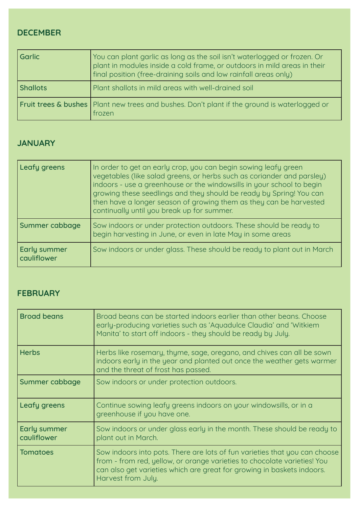## **DECEMBER**

| l Garlic        | You can plant garlic as long as the soil isn't waterlogged or frozen. Or<br>plant in modules inside a cold frame, or outdoors in mild areas in their<br>final position (free-draining soils and low rainfall areas only) |
|-----------------|--------------------------------------------------------------------------------------------------------------------------------------------------------------------------------------------------------------------------|
| <b>Shallots</b> | Plant shallots in mild areas with well-drained soil                                                                                                                                                                      |
|                 | Fruit trees & bushes   Plant new trees and bushes. Don't plant if the ground is waterlogged or<br>frozen                                                                                                                 |

## **JANUARY**

| Leafy greens                | In order to get an early crop, you can begin sowing leafy green<br>vegetables (like salad greens, or herbs such as coriander and parsley)<br>indoors - use a greenhouse or the windowsills in your school to begin<br>growing these seedlings and they should be ready by Spring! You can<br>then have a longer season of growing them as they can be harvested<br>continually until you break up for summer. |
|-----------------------------|---------------------------------------------------------------------------------------------------------------------------------------------------------------------------------------------------------------------------------------------------------------------------------------------------------------------------------------------------------------------------------------------------------------|
| Summer cabbage              | Sow indoors or under protection outdoors. These should be ready to<br>begin harvesting in June, or even in late May in some areas                                                                                                                                                                                                                                                                             |
| Early summer<br>cauliflower | Sow indoors or under glass. These should be ready to plant out in March                                                                                                                                                                                                                                                                                                                                       |

### **FEBRUARY**

| <b>Broad beans</b>          | Broad beans can be started indoors earlier than other beans. Choose<br>early-producing varieties such as 'Aquadulce Claudia' and 'Witkiem<br>Manita' to start off indoors - they should be ready by July.                                              |
|-----------------------------|--------------------------------------------------------------------------------------------------------------------------------------------------------------------------------------------------------------------------------------------------------|
| <b>Herbs</b>                | Herbs like rosemary, thyme, sage, oregano, and chives can all be sown<br>indoors early in the year and planted out once the weather gets warmer<br>and the threat of frost has passed.                                                                 |
| Summer cabbage              | Sow indoors or under protection outdoors.                                                                                                                                                                                                              |
| Leafy greens                | Continue sowing leafy greens indoors on your windowsills, or in a<br>greenhouse if you have one.                                                                                                                                                       |
| Early summer<br>cauliflower | Sow indoors or under glass early in the month. These should be ready to<br>plant out in March.                                                                                                                                                         |
| <b>Tomatoes</b>             | Sow indoors into pots. There are lots of fun varieties that you can choose<br>from - from red, yellow, or orange varieties to chocolate varieties! You<br>can also get varieties which are great for growing in baskets indoors.<br>Harvest from July. |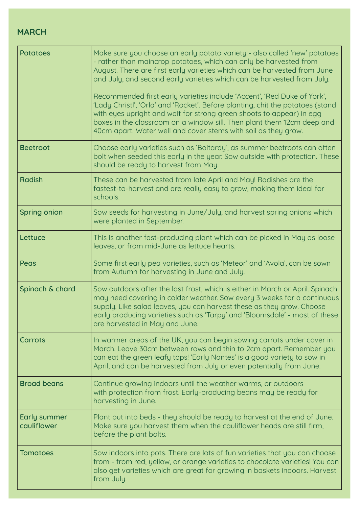## **MARCH**

| <b>Potatoes</b>                    | Make sure you choose an early potato variety - also called 'new' potatoes<br>- rather than maincrop potatoes, which can only be harvested from<br>August. There are first early varieties which can be harvested from June<br>and July, and second early varieties which can be harvested from July.<br>Recommended first early varieties include 'Accent', 'Red Duke of York',<br>'Lady Christl', 'Orla' and 'Rocket'. Before planting, chit the potatoes (stand<br>with eyes upright and wait for strong green shoots to appear) in egg<br>boxes in the classroom on a window sill. Then plant them 12cm deep and<br>40cm apart. Water well and cover stems with soil as they grow. |
|------------------------------------|---------------------------------------------------------------------------------------------------------------------------------------------------------------------------------------------------------------------------------------------------------------------------------------------------------------------------------------------------------------------------------------------------------------------------------------------------------------------------------------------------------------------------------------------------------------------------------------------------------------------------------------------------------------------------------------|
| <b>Beetroot</b>                    | Choose early varieties such as 'Boltardy', as summer beetroots can often<br>bolt when seeded this early in the year. Sow outside with protection. These<br>should be ready to harvest from May.                                                                                                                                                                                                                                                                                                                                                                                                                                                                                       |
| <b>Radish</b>                      | These can be harvested from late April and May! Radishes are the<br>fastest-to-harvest and are really easy to grow, making them ideal for<br>schools.                                                                                                                                                                                                                                                                                                                                                                                                                                                                                                                                 |
| <b>Spring onion</b>                | Sow seeds for harvesting in June/July, and harvest spring onions which<br>were planted in September.                                                                                                                                                                                                                                                                                                                                                                                                                                                                                                                                                                                  |
| Lettuce                            | This is another fast-producing plant which can be picked in May as loose<br>leaves, or from mid-June as lettuce hearts.                                                                                                                                                                                                                                                                                                                                                                                                                                                                                                                                                               |
| Peas                               | Some first early pea varieties, such as 'Meteor' and 'Avola', can be sown<br>from Autumn for harvesting in June and July.                                                                                                                                                                                                                                                                                                                                                                                                                                                                                                                                                             |
| Spinach & chard                    | Sow outdoors after the last frost, which is either in March or April. Spinach<br>may need covering in colder weather. Sow every 3 weeks for a continuous<br>supply. Like salad leaves, you can harvest these as they grow. Choose<br>early producing varieties such as 'Tarpy' and 'Bloomsdale' - most of these<br>are harvested in May and June.                                                                                                                                                                                                                                                                                                                                     |
| <b>Carrots</b>                     | In warmer areas of the UK, you can begin sowing carrots under cover in<br>March. Leave 30cm between rows and thin to 2cm apart. Remember you<br>can eat the green leafy tops! 'Early Nantes' is a good variety to sow in<br>April, and can be harvested from July or even potentially from June.                                                                                                                                                                                                                                                                                                                                                                                      |
| <b>Broad beans</b>                 | Continue growing indoors until the weather warms, or outdoors<br>with protection from frost. Early-producing beans may be ready for<br>harvesting in June.                                                                                                                                                                                                                                                                                                                                                                                                                                                                                                                            |
| <b>Early summer</b><br>cauliflower | Plant out into beds - they should be ready to harvest at the end of June.<br>Make sure you harvest them when the cauliflower heads are still firm,<br>before the plant bolts.                                                                                                                                                                                                                                                                                                                                                                                                                                                                                                         |
| <b>Tomatoes</b>                    | Sow indoors into pots. There are lots of fun varieties that you can choose<br>from - from red, yellow, or orange varieties to chocolate varieties! You can<br>also get varieties which are great for growing in baskets indoors. Harvest<br>from July.                                                                                                                                                                                                                                                                                                                                                                                                                                |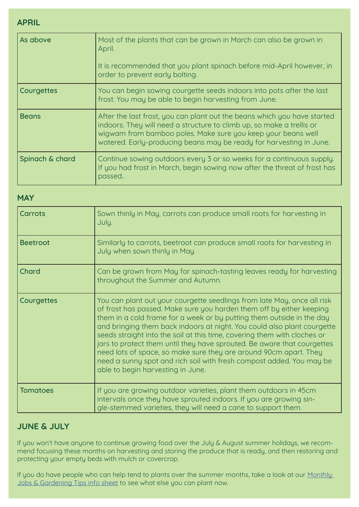**APRIL**

| As above        | Most of the plants that can be grown in March can also be grown in<br>April.<br>It is recommended that you plant spinach before mid-April however, in<br>order to prevent early bolting.                                                                                                 |
|-----------------|------------------------------------------------------------------------------------------------------------------------------------------------------------------------------------------------------------------------------------------------------------------------------------------|
| Courgettes      | You can begin sowing courgette seeds indoors into pots after the last<br>frost. You may be able to begin harvesting from June.                                                                                                                                                           |
| <b>Beans</b>    | After the last frost, you can plant out the beans which you have started<br>indoors. They will need a structure to climb up, so make a trellis or<br>wigwam from bamboo poles. Make sure you keep your beans well<br>watered. Early-producing beans may be ready for harvesting in June. |
| Spinach & chard | Continue sowing outdoors every 3 or so weeks for a continuous supply.<br>If you had frost in March, begin sowing now after the threat of frost has<br>passed                                                                                                                             |

### **MAY**

| Carrots         | Sown thinly in May, carrots can produce small roots for harvesting in<br>July.                                                                                                                                                                                                                                                                                                                                                                                                                                                                                                                                                               |
|-----------------|----------------------------------------------------------------------------------------------------------------------------------------------------------------------------------------------------------------------------------------------------------------------------------------------------------------------------------------------------------------------------------------------------------------------------------------------------------------------------------------------------------------------------------------------------------------------------------------------------------------------------------------------|
| <b>Beetroot</b> | Similarly to carrots, beetroot can produce small roots for harvesting in<br>July when sown thinly in May.                                                                                                                                                                                                                                                                                                                                                                                                                                                                                                                                    |
| Chard           | Can be grown from May for spinach-tasting leaves ready for harvesting<br>throughout the Summer and Autumn.                                                                                                                                                                                                                                                                                                                                                                                                                                                                                                                                   |
| Courgettes      | You can plant out your courgette seedlings from late May, once all risk<br>of frost has passed. Make sure you harden them off by either keeping<br>them in a cold frame for a week or by putting them outside in the day<br>and bringing them back indoors at night. You could also plant courgette<br>seeds straight into the soil at this time, covering them with cloches or<br>jars to protect them until they have sprouted. Be aware that courgettes<br>need lots of space, so make sure they are around 90cm apart. They<br>need a sunny spot and rich soil with fresh compost added. You may be<br>able to begin harvesting in June. |
| <b>Tomatoes</b> | If you are growing outdoor varieties, plant them outdoors in 45cm<br>intervals once they have sprouted indoors. If you are growing sin-<br>gle-stemmed varieties, they will need a cane to support them.                                                                                                                                                                                                                                                                                                                                                                                                                                     |

# **JUNE & JULY**

If you won't have anyone to continue growing food over the July & August summer holidays, we recommend focusing these months on harvesting and storing the produce that is ready, and then restoring and protecting your empty beds with mulch or covercrop.

If you do have people who can help tend to plants over the summer months, take a look at our Monthly [Jobs & Gardening Tips info sheet](https://www.oneplanetmatters.com/_files/ugd/f78e45_50f55d01d7544f76a337097adbcd9694.pdf?index=true) to see what else you can plant now.